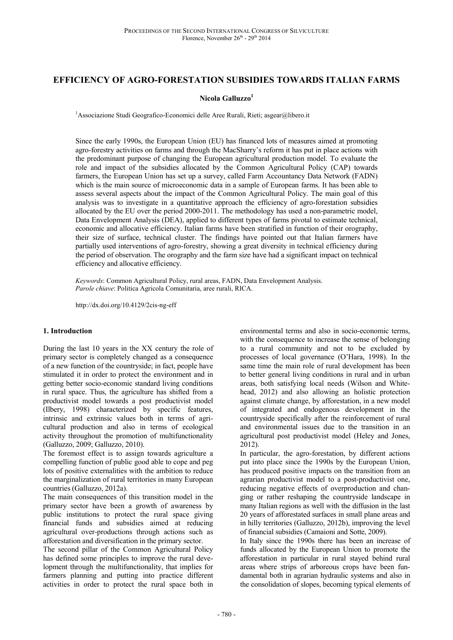# **EFFICIENCY OF AGRO-FORESTATION SUBSIDIES TOWARDS ITALIAN FARMS**

### **Nicola Galluzzo<sup>1</sup>**

<sup>1</sup>Associazione Studi Geografico-Economici delle Aree Rurali, Rieti; asgear@libero.it

Since the early 1990s, the European Union (EU) has financed lots of measures aimed at promoting agro-forestry activities on farms and through the MacSharry's reform it has put in place actions with the predominant purpose of changing the European agricultural production model. To evaluate the role and impact of the subsidies allocated by the Common Agricultural Policy (CAP) towards farmers, the European Union has set up a survey, called Farm Accountancy Data Network (FADN) which is the main source of microeconomic data in a sample of European farms. It has been able to assess several aspects about the impact of the Common Agricultural Policy. The main goal of this analysis was to investigate in a quantitative approach the efficiency of agro-forestation subsidies allocated by the EU over the period 2000-2011. The methodology has used a non-parametric model, Data Envelopment Analysis (DEA), applied to different types of farms pivotal to estimate technical, economic and allocative efficiency. Italian farms have been stratified in function of their orography, their size of surface, technical cluster. The findings have pointed out that Italian farmers have partially used interventions of agro-forestry, showing a great diversity in technical efficiency during the period of observation. The orography and the farm size have had a significant impact on technical efficiency and allocative efficiency.

*Keywords*: Common Agricultural Policy, rural areas, FADN, Data Envelopment Analysis. *Parole chiave*: Politica Agricola Comunitaria, aree rurali, RICA.

http://dx.doi.org/10.4129/2cis-ng-eff

#### **1. Introduction**

During the last 10 years in the XX century the role of primary sector is completely changed as a consequence of a new function of the countryside; in fact, people have stimulated it in order to protect the environment and in getting better socio-economic standard living conditions in rural space. Thus, the agriculture has shifted from a productivist model towards a post productivist model (Ilbery, 1998) characterized by specific features, intrinsic and extrinsic values both in terms of agricultural production and also in terms of ecological activity throughout the promotion of multifunctionality (Galluzzo, 2009; Galluzzo, 2010).

The foremost effect is to assign towards agriculture a compelling function of public good able to cope and peg lots of positive externalities with the ambition to reduce the marginalization of rural territories in many European countries (Galluzzo, 2012a).

The main consequences of this transition model in the primary sector have been a growth of awareness by public institutions to protect the rural space giving financial funds and subsidies aimed at reducing agricultural over-productions through actions such as afforestation and diversification in the primary sector.

The second pillar of the Common Agricultural Policy has defined some principles to improve the rural development through the multifunctionality, that implies for farmers planning and putting into practice different activities in order to protect the rural space both in

environmental terms and also in socio-economic terms, with the consequence to increase the sense of belonging to a rural community and not to be excluded by processes of local governance (O'Hara, 1998). In the same time the main role of rural development has been to better general living conditions in rural and in urban areas, both satisfying local needs (Wilson and Whitehead, 2012) and also allowing an holistic protection against climate change, by afforestation, in a new model of integrated and endogenous development in the countryside specifically after the reinforcement of rural and environmental issues due to the transition in an agricultural post productivist model (Heley and Jones, 2012).

In particular, the agro-forestation, by different actions put into place since the 1990s by the European Union, has produced positive impacts on the transition from an agrarian productivist model to a post-productivist one, reducing negative effects of overproduction and changing or rather reshaping the countryside landscape in many Italian regions as well with the diffusion in the last 20 years of afforestated surfaces in small plane areas and in hilly territories (Galluzzo, 2012b), improving the level of financial subsidies (Camaioni and Sotte, 2009).

In Italy since the 1990s there has been an increase of funds allocated by the European Union to promote the afforestation in particular in rural stayed behind rural areas where strips of arboreous crops have been fundamental both in agrarian hydraulic systems and also in the consolidation of slopes, becoming typical elements of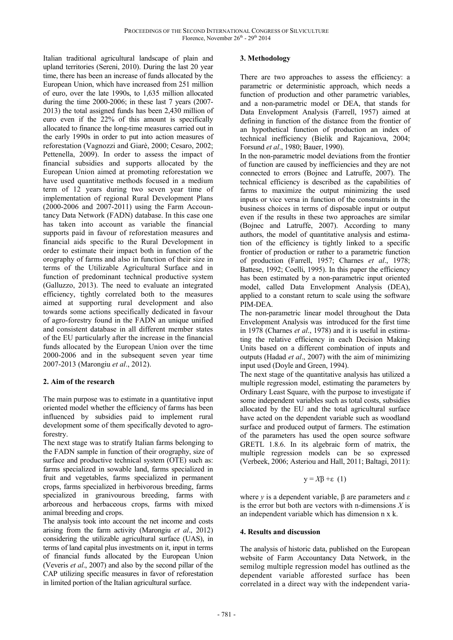Italian traditional agricultural landscape of plain and upland territories (Sereni, 2010). During the last 20 year time, there has been an increase of funds allocated by the European Union, which have increased from 251 million of euro, over the late 1990s, to 1,635 million allocated during the time 2000-2006; in these last 7 years (2007- 2013) the total assigned funds has been 2,430 million of euro even if the 22% of this amount is specifically allocated to finance the long-time measures carried out in the early 1990s in order to put into action measures of reforestation (Vagnozzi and Giarè, 2000; Cesaro, 2002; Pettenella, 2009). In order to assess the impact of financial subsidies and supports allocated by the European Union aimed at promoting reforestation we have used quantitative methods focused in a medium term of 12 years during two seven year time of implementation of regional Rural Development Plans (2000-2006 and 2007-2011) using the Farm Accountancy Data Network (FADN) database. In this case one has taken into account as variable the financial supports paid in favour of reforestation measures and financial aids specific to the Rural Development in order to estimate their impact both in function of the orography of farms and also in function of their size in terms of the Utilizable Agricultural Surface and in function of predominant technical productive system (Galluzzo, 2013). The need to evaluate an integrated efficiency, tightly correlated both to the measures aimed at supporting rural development and also towards some actions specifically dedicated in favour of agro-forestry found in the FADN an unique unified and consistent database in all different member states of the EU particularly after the increase in the financial funds allocated by the European Union over the time 2000-2006 and in the subsequent seven year time 2007-2013 (Marongiu *et al*., 2012).

### **2. Aim of the research**

The main purpose was to estimate in a quantitative input oriented model whether the efficiency of farms has been influenced by subsidies paid to implement rural development some of them specifically devoted to agroforestry.

The next stage was to stratify Italian farms belonging to the FADN sample in function of their orography, size of surface and productive technical system (OTE) such as: farms specialized in sowable land, farms specialized in fruit and vegetables, farms specialized in permanent crops, farms specialized in herbivorous breeding, farms specialized in granivourous breeding, farms with arboreous and herbaceous crops, farms with mixed animal breeding and crops.

The analysis took into account the net income and costs arising from the farm activity (Marongiu *et al*., 2012) considering the utilizable agricultural surface (UAS), in terms of land capital plus investments on it, input in terms of financial funds allocated by the European Union (Veveris *et al*., 2007) and also by the second pillar of the CAP utilizing specific measures in favor of reforestation in limited portion of the Italian agricultural surface.

### **3. Methodology**

There are two approaches to assess the efficiency: a parametric or deterministic approach, which needs a function of production and other parametric variables, and a non-parametric model or DEA, that stands for Data Envelopment Analysis (Farrell, 1957) aimed at defining in function of the distance from the frontier of an hypothetical function of production an index of technical inefficiency (Bielik and Rajcaniova, 2004; Forsund *et al*., 1980; Bauer, 1990).

In the non-parametric model deviations from the frontier of function are caused by inefficiencies and they are not connected to errors (Bojnec and Latruffe, 2007). The technical efficiency is described as the capabilities of farms to maximize the output minimizing the used inputs or vice versa in function of the constraints in the business choices in terms of disposable input or output even if the results in these two approaches are similar (Bojnec and Latruffe, 2007). According to many authors, the model of quantitative analysis and estimation of the efficiency is tightly linked to a specific frontier of production or rather to a parametric function of production (Farrell, 1957; Charnes *et al*., 1978; Battese, 1992; Coelli, 1995). In this paper the efficiency has been estimated by a non-parametric input oriented model, called Data Envelopment Analysis (DEA), applied to a constant return to scale using the software PIM-DEA.

The non-parametric linear model throughout the Data Envelopment Analysis was introduced for the first time in 1978 (Charnes *et al*., 1978) and it is useful in estimating the relative efficiency in each Decision Making Units based on a different combination of inputs and outputs (Hadad *et al*., 2007) with the aim of minimizing input used (Doyle and Green, 1994).

The next stage of the quantitative analysis has utilized a multiple regression model, estimating the parameters by Ordinary Least Square, with the purpose to investigate if some independent variables such as total costs, subsidies allocated by the EU and the total agricultural surface have acted on the dependent variable such as woodland surface and produced output of farmers. The estimation of the parameters has used the open source software GRETL 1.8.6. In its algebraic form of matrix, the multiple regression models can be so expressed (Verbeek, 2006; Asteriou and Hall, 2011; Baltagi, 2011):

$$
y = X\beta + \varepsilon (1)
$$

where *y* is a dependent variable, β are parameters and *ε* is the error but both are vectors with n-dimensions *X* is an independent variable which has dimension n x k.

## **4. Results and discussion**

The analysis of historic data, published on the European website of Farm Accountancy Data Network, in the semilog multiple regression model has outlined as the dependent variable afforested surface has been correlated in a direct way with the independent varia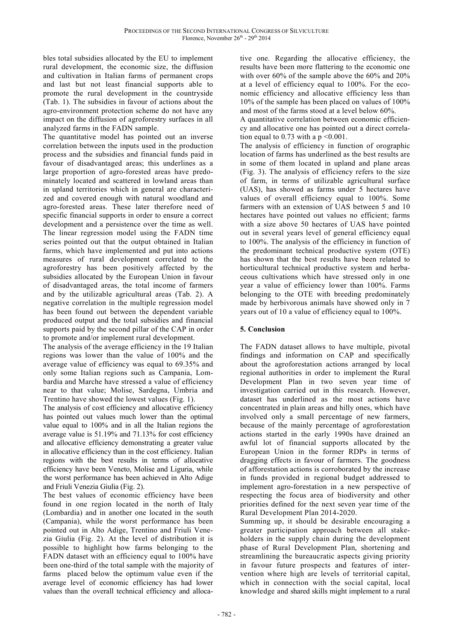bles total subsidies allocated by the EU to implement rural development, the economic size, the diffusion and cultivation in Italian farms of permanent crops and last but not least financial supports able to promote the rural development in the countryside (Tab. 1). The subsidies in favour of actions about the agro-environment protection scheme do not have any impact on the diffusion of agroforestry surfaces in all analyzed farms in the FADN sample.

The quantitative model has pointed out an inverse correlation between the inputs used in the production process and the subsidies and financial funds paid in favour of disadvantaged areas; this underlines as a large proportion of agro-forested areas have predominately located and scattered in lowland areas than in upland territories which in general are characterized and covered enough with natural woodland and agro-forested areas. These later therefore need of specific financial supports in order to ensure a correct development and a persistence over the time as well. The linear regression model using the FADN time series pointed out that the output obtained in Italian farms, which have implemented and put into actions measures of rural development correlated to the agroforestry has been positively affected by the subsidies allocated by the European Union in favour of disadvantaged areas, the total income of farmers and by the utilizable agricultural areas (Tab. 2). A negative correlation in the multiple regression model has been found out between the dependent variable produced output and the total subsidies and financial supports paid by the second pillar of the CAP in order to promote and/or implement rural development.

The analysis of the average efficiency in the 19 Italian regions was lower than the value of 100% and the average value of efficiency was equal to 69.35% and only some Italian regions such as Campania, Lombardia and Marche have stressed a value of efficiency near to that value; Molise, Sardegna, Umbria and Trentino have showed the lowest values (Fig. 1).

The analysis of cost efficiency and allocative efficiency has pointed out values much lower than the optimal value equal to 100% and in all the Italian regions the average value is 51.19% and 71.13% for cost efficiency and allocative efficiency demonstrating a greater value in allocative efficiency than in the cost efficiency. Italian regions with the best results in terms of allocative efficiency have been Veneto, Molise and Liguria, while the worst performance has been achieved in Alto Adige and Friuli Venezia Giulia (Fig. 2).

The best values of economic efficiency have been found in one region located in the north of Italy (Lombardia) and in another one located in the south (Campania), while the worst performance has been pointed out in Alto Adige, Trentino and Friuli Venezia Giulia (Fig. 2). At the level of distribution it is possible to highlight how farms belonging to the FADN dataset with an efficiency equal to 100% have been one-third of the total sample with the majority of farms placed below the optimum value even if the average level of economic efficiency has had lower values than the overall technical efficiency and alloca-

tive one. Regarding the allocative efficiency, the results have been more flattering to the economic one with over 60% of the sample above the 60% and 20% at a level of efficiency equal to 100%. For the economic efficiency and allocative efficiency less than 10% of the sample has been placed on values of 100% and most of the farms stood at a level below 60%.

A quantitative correlation between economic efficiency and allocative one has pointed out a direct correlation equal to  $0.73$  with a  $p \leq 0.001$ .

The analysis of efficiency in function of orographic location of farms has underlined as the best results are in some of them located in upland and plane areas (Fig. 3). The analysis of efficiency refers to the size of farm, in terms of utilizable agricultural surface (UAS), has showed as farms under 5 hectares have values of overall efficiency equal to 100%. Some farmers with an extension of UAS between 5 and 10 hectares have pointed out values no efficient; farms with a size above 50 hectares of UAS have pointed out in several years level of general efficiency equal to 100%. The analysis of the efficiency in function of the predominant technical productive system (OTE) has shown that the best results have been related to horticultural technical productive system and herbaceous cultivations which have stressed only in one year a value of efficiency lower than 100%. Farms belonging to the OTE with breeding predominately made by herbivorous animals have showed only in 7 years out of 10 a value of efficiency equal to 100%.

## **5. Conclusion**

The FADN dataset allows to have multiple, pivotal findings and information on CAP and specifically about the agroforestation actions arranged by local regional authorities in order to implement the Rural Development Plan in two seven year time of investigation carried out in this research. However, dataset has underlined as the most actions have concentrated in plain areas and hilly ones, which have involved only a small percentage of new farmers, because of the mainly percentage of agroforestation actions started in the early 1990s have drained an awful lot of financial supports allocated by the European Union in the former RDPs in terms of dragging effects in favour of farmers. The goodness of afforestation actions is corroborated by the increase in funds provided in regional budget addressed to implement agro-forestation in a new perspective of respecting the focus area of biodiversity and other priorities defined for the next seven year time of the Rural Development Plan 2014-2020.

Summing up, it should be desirable encouraging a greater participation approach between all stakeholders in the supply chain during the development phase of Rural Development Plan, shortening and streamlining the bureaucratic aspects giving priority in favour future prospects and features of intervention where high are levels of territorial capital, which in connection with the social capital, local knowledge and shared skills might implement to a rural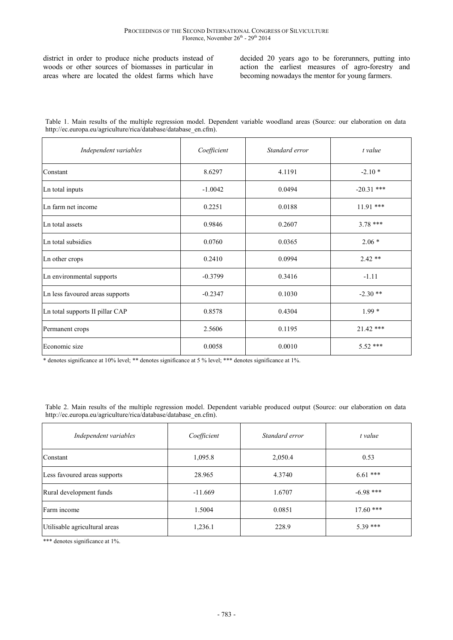district in order to produce niche products instead of woods or other sources of biomasses in particular in areas where are located the oldest farms which have

decided 20 years ago to be forerunners, putting into action the earliest measures of agro-forestry and becoming nowadays the mentor for young farmers.

| Table 1. Main results of the multiple regression model. Dependent variable woodland areas (Source: our elaboration on data |  |  |  |  |  |
|----------------------------------------------------------------------------------------------------------------------------|--|--|--|--|--|
| http://ec.europa.eu/agriculture/rica/database/database en.cfm).                                                            |  |  |  |  |  |

| Independent variables           | Coefficient | Standard error | t value      |
|---------------------------------|-------------|----------------|--------------|
| Constant                        | 8.6297      | 4.1191         | $-2.10*$     |
| Ln total inputs                 | $-1.0042$   | 0.0494         | $-20.31$ *** |
| Ln farm net income              | 0.2251      | 0.0188         | $11.91$ ***  |
| Ln total assets                 | 0.9846      | 0.2607         | $3.78***$    |
| Ln total subsidies              | 0.0760      | 0.0365         | $2.06*$      |
| Ln other crops                  | 0.2410      | 0.0994         | $2.42**$     |
| Ln environmental supports       | $-0.3799$   | 0.3416         | $-1.11$      |
| Ln less favoured areas supports | $-0.2347$   | 0.1030         | $-2.30**$    |
| Ln total supports II pillar CAP | 0.8578      | 0.4304         | $1.99*$      |
| Permanent crops                 | 2.5606      | 0.1195         | 21.42 ***    |
| Economic size                   | 0.0058      | 0.0010         | $5.52$ ***   |

\* denotes significance at 10% level; \*\* denotes significance at 5 % level; \*\*\* denotes significance at 1%.

Table 2. Main results of the multiple regression model. Dependent variable produced output (Source: our elaboration on data http://ec.europa.eu/agriculture/rica/database/database\_en.cfm).

| Independent variables         | Coefficient | Standard error | t value     |
|-------------------------------|-------------|----------------|-------------|
| Constant                      | 1,095.8     | 2,050.4        | 0.53        |
| Less favoured areas supports  | 28.965      | 4.3740         | $6.61***$   |
| Rural development funds       | $-11.669$   | 1.6707         | $-6.98$ *** |
| Farm income                   | 1.5004      | 0.0851         | $17.60$ *** |
| Utilisable agricultural areas | 1,236.1     | 228.9          | $5.39***$   |

\*\*\* denotes significance at 1%.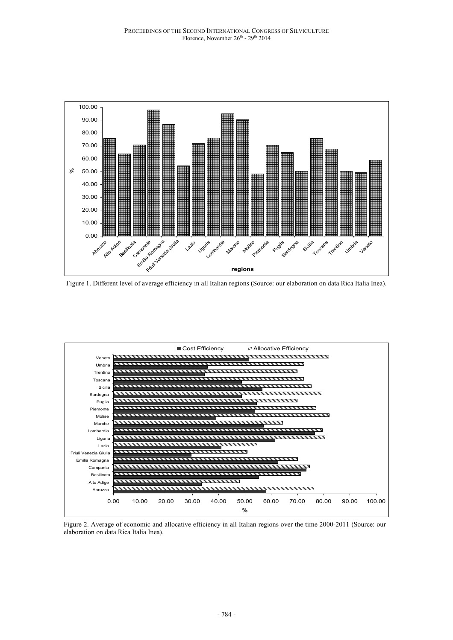

Figure 1. Different level of average efficiency in all Italian regions (Source: our elaboration on data Rica Italia Inea).



Figure 2. Average of economic and allocative efficiency in all Italian regions over the time 2000-2011 (Source: our elaboration on data Rica Italia Inea).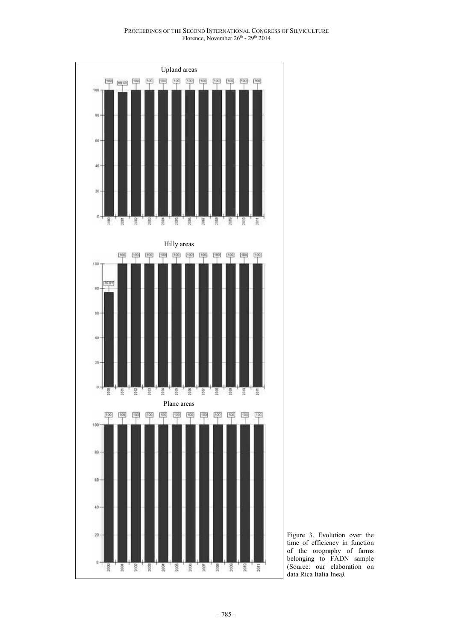

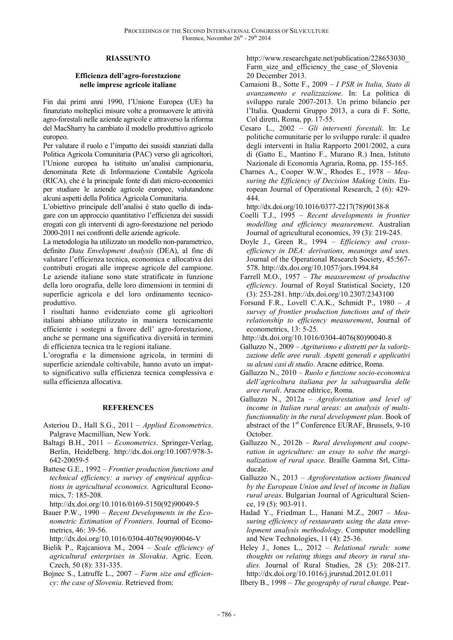### **RIASSUNTO**

### **Efficienza dell'agro-forestazione nelle imprese agricole italiane**

Fin dai primi anni 1990, l'Unione Europea (UE) ha finanziato molteplici misure volte a promuovere le attività agro-forestali nelle aziende agricole e attraverso la riforma del MacSharry ha cambiato il modello produttivo agricolo europeo.

Per valutare il ruolo e l'impatto dei sussidi stanziati dalla Politica Agricola Comunitaria (PAC) verso gli agricoltori, l'Unione europea ha istituito un'analisi campionaria, denominata Rete di Informazione Contabile Agricola (RICA), che è la principale fonte di dati micro-economici per studiare le aziende agricole europee, valutandone alcuni aspetti della Politica Agricola Comunitaria.

L'obiettivo principale dell'analisi è stato quello di indagare con un approccio quantitativo l'efficienza dei sussidi erogati con gli interventi di agro-forestazione nel periodo 2000-2011 nei confronti delle aziende agricole.

La metodologia ha utilizzato un modello non-parametrico, definito *Data Envelopment Analysis* (DEA), al fine di valutare l'efficienza tecnica, economica e allocativa dei contributi erogati alle imprese agricole del campione. Le aziende italiane sono state stratificate in funzione della loro orografia, delle loro dimensioni in termini di superficie agricola e del loro ordinamento tecnicoproduttivo.

I risultati hanno evidenziato come gli agricoltori italiani abbiano utilizzato in maniera tecnicamente efficiente i sostegni a favore dell' agro-forestazione, anche se permane una significativa diversità in termini di efficienza tecnica tra le regioni italiane.

L'orografia e la dimensione agricola, in termini di superficie aziendale coltivabile, hanno avuto un impatto significativo sulla efficienza tecnica complessiva e sulla efficienza allocativa.

### **REFERENCES**

Asteriou D., Hall S.G., 2011 – *Applied Econometrics*. Palgrave Macmillian, New York.

- Baltagi B.H., 2011 *Econometrics*. Springer-Verlag, Berlin, Heidelberg. http://dx.doi.org/10.1007/978-3- 642-20059-5
- Battese G.E., 1992 *Frontier production functions and technical efficiency: a survey of empirical applications in agricultural economics.* Agricultural Economics, 7: 185-208.

http://dx.doi.org/10.1016/0169-5150(92)90049-5

Bauer P.W., 1990 – *Recent Developments in the Econometric Estimation of Frontiers*. Journal of Econometrics, 46: 39-56.

http://dx.doi.org/10.1016/0304-4076(90)90046-V

- Bielik P., Rajcaniova M., 2004 *Scale efficiency of agricultural enterprises in Slovakia*. Agric. Econ. Czech, 50 (8): 331-335.
- Bojnec S., Latruffe L., 2007 *Farm size and efficiency: the case of Slovenia*. Retrieved from:

http://www.researchgate.net/publication/228653030\_ Farm size and efficiency the case of Slovenia 20 December 2013.

- Camaioni B., Sotte F., 2009 *I PSR in Italia, Stato di avanzamento e realizzazione*. In: La politica di sviluppo rurale 2007-2013. Un primo bilancio per l'Italia. Quaderni Gruppo 2013, a cura di F. Sotte, Col diretti, Roma, pp. 17-55.
- Cesaro L., 2002 *Gli interventi forestali*. In: Le politiche comunitarie per lo sviluppo rurale: il quadro degli interventi in Italia Rapporto 2001/2002, a cura di (Gatto E., Mantino F., Murano R.) Inea, Istituto Nazionale di Economia Agraria, Roma, pp. 155-165.
- Charnes A., Cooper W.W., Rhodes E., 1978 *Measuring the Efficiency of Decision Making Units*. European Journal of Operational Research, 2 (6): 429- 444.

http://dx.doi.org/10.1016/0377-2217(78)90138-8

- Coelli T.J., 1995 *Recent developments in frontier modelling and efficiency measurement*. Australian Journal of agricultural economics, 39 (3): 219-245.
- Doyle J., Green R., 1994 *Efficiency and crossefficiency in DEA: derivations, meanings and uses.* Journal of the Operational Research Society, 45:567- 578. http://dx.doi.org/10.1057/jors.1994.84
- Farrell M.O., 1957 *The measurement of productive efficiency*. Journal of Royal Statistical Society, 120 (3): 253-281. http://dx.doi.org/10.2307/2343100
- Forsund F.R., Lovell C.A.K., Schmidt P., 1980 *A survey of frontier production functions and of their relationship to efficiency measurement*, Journal of econometrics, 13: 5-25.
- http://dx.doi.org/10.1016/0304-4076(80)90040-8
- Galluzzo N., 2009 *Agriturismo e distretti per la valorizzazione delle aree rurali. Aspetti generali e applicativi su alcuni casi di studio*. Aracne editrice, Roma.
- Galluzzo N., 2010 *Ruolo e funzione socio-economica dell'agricoltura italiana per la salvaguardia delle aree rurali*. Aracne editrice, Roma.
- Galluzzo N., 2012a *Agroforestation and level of income in Italian rural areas: an analysis of multifunctionnality in the rural development plan*. Book of abstract of the 1<sup>st</sup> Conference EURAF, Brussels, 9-10 October.
- Galluzzo N., 2012b *Rural development and cooperation in agriculture: an essay to solve the marginalization of rural space.* Braille Gamma Srl, Cittaducale.
- Galluzzo N., 2013 *Agroforestation actions financed by the European Union and level of income in Italian rural areas*. Bulgarian Journal of Agricultural Science, 19 (5): 903-911.
- Hadad Y., Friedman L., Hanani M.Z., 2007 *Measuring efficiency of restaurants using the data envelopment analysis methodology*. Computer modelling and New Technologies, 11 (4): 25-36.
- Heley J., Jones L., 2012 *Relational rurals: some thoughts on relating things and theory in rural studies.* Journal of Rural Studies, 28 (3): 208-217. http://dx.doi.org/10.1016/j.jrurstud.2012.01.011
- Ilbery B., 1998 *The geography of rural change*. Pear-